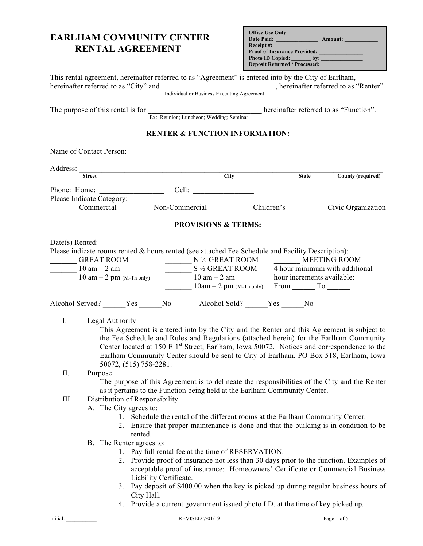| <b>EARLHAM COMMUNITY CENTER</b><br><b>RENTAL AGREEMENT</b>                                                                                                                                                                                                                                                                                                                                                                                                                                                                                                                                                                                                                                                                                                                                                                                                                                                                                                                                                                                                                                                 | <b>Office Use Only</b><br>Date Paid: <u>Amount:</u><br>Receipt #:<br>Proof of Insurance Provided: |                         |
|------------------------------------------------------------------------------------------------------------------------------------------------------------------------------------------------------------------------------------------------------------------------------------------------------------------------------------------------------------------------------------------------------------------------------------------------------------------------------------------------------------------------------------------------------------------------------------------------------------------------------------------------------------------------------------------------------------------------------------------------------------------------------------------------------------------------------------------------------------------------------------------------------------------------------------------------------------------------------------------------------------------------------------------------------------------------------------------------------------|---------------------------------------------------------------------------------------------------|-------------------------|
| This rental agreement, hereinafter referred to as "Agreement" is entered into by the City of Earlham,<br>hereinafter referred to as "City" and Individual or Business Executing Agreement hereinafter referred to as "Renter".                                                                                                                                                                                                                                                                                                                                                                                                                                                                                                                                                                                                                                                                                                                                                                                                                                                                             |                                                                                                   |                         |
| The purpose of this rental is for $\frac{1}{\text{Ex: Reunion; Luncheon; Wedding; Seminar}}$ hereinafter referred to as "Function".                                                                                                                                                                                                                                                                                                                                                                                                                                                                                                                                                                                                                                                                                                                                                                                                                                                                                                                                                                        |                                                                                                   |                         |
| <b>RENTER &amp; FUNCTION INFORMATION:</b>                                                                                                                                                                                                                                                                                                                                                                                                                                                                                                                                                                                                                                                                                                                                                                                                                                                                                                                                                                                                                                                                  |                                                                                                   |                         |
|                                                                                                                                                                                                                                                                                                                                                                                                                                                                                                                                                                                                                                                                                                                                                                                                                                                                                                                                                                                                                                                                                                            |                                                                                                   |                         |
| Address: Street City                                                                                                                                                                                                                                                                                                                                                                                                                                                                                                                                                                                                                                                                                                                                                                                                                                                                                                                                                                                                                                                                                       |                                                                                                   | State County (required) |
|                                                                                                                                                                                                                                                                                                                                                                                                                                                                                                                                                                                                                                                                                                                                                                                                                                                                                                                                                                                                                                                                                                            |                                                                                                   |                         |
| Please Indicate Category:                                                                                                                                                                                                                                                                                                                                                                                                                                                                                                                                                                                                                                                                                                                                                                                                                                                                                                                                                                                                                                                                                  |                                                                                                   |                         |
| Commercial Non-Commercial Children's Civic Organization                                                                                                                                                                                                                                                                                                                                                                                                                                                                                                                                                                                                                                                                                                                                                                                                                                                                                                                                                                                                                                                    |                                                                                                   |                         |
| <b>PROVISIONS &amp; TERMS:</b>                                                                                                                                                                                                                                                                                                                                                                                                                                                                                                                                                                                                                                                                                                                                                                                                                                                                                                                                                                                                                                                                             |                                                                                                   |                         |
| Date(s) Rented:<br>Date(s) Rented: $\frac{1}{2}$<br>Please indicate rooms rented & hours rented (see attached Fee Schedule and Facility Description):<br>GREAT ROOM<br>10 am – 2 am<br>10 am – 2 pm (M-Th only)<br>$\frac{N \frac{1}{2} \text{ GREAT ROOM}}{10 \text{ am } -2 \text{ pm (M-Th only)}}$<br>$\frac{N \frac{1}{2} \text{ GREAT ROOM}}{10 \text{ am } -2 \text{ am}}$<br>$\frac{10 \text{ am } -2 \text{ am}}{10 \text{ am } -2 \text{ pm (M-Th only)}}$<br>$\frac{10 \text{ am } -2 \text{ am}}{10 \text{ am } -2 \text{ pm (M-Th only)}}$<br>From $\frac{$<br>Alcohol Served? ______Yes ______No Alcohol Sold? _____Yes ______No<br>I. Legal Authority<br>This Agreement is entered into by the City and the Renter and this Agreement is subject to<br>the Fee Schedule and Rules and Regulations (attached herein) for the Earlham Community<br>Center located at 150 E 1 <sup>st</sup> Street, Earlham, Iowa 50072. Notices and correspondence to the<br>Earlham Community Center should be sent to City of Earlham, PO Box 518, Earlham, Iowa<br>50072, (515) 758-2281.<br>П.<br>Purpose |                                                                                                   |                         |
| The purpose of this Agreement is to delineate the responsibilities of the City and the Renter<br>as it pertains to the Function being held at the Earlham Community Center.<br>III.<br>Distribution of Responsibility<br>A. The City agrees to:<br>1. Schedule the rental of the different rooms at the Earlham Community Center.<br>2. Ensure that proper maintenance is done and that the building is in condition to be<br>rented.<br>B. The Renter agrees to:<br>1. Pay full rental fee at the time of RESERVATION.<br>Provide proof of insurance not less than 30 days prior to the function. Examples of<br>2.<br>acceptable proof of insurance: Homeowners' Certificate or Commercial Business<br>Liability Certificate.<br>Pay deposit of \$400.00 when the key is picked up during regular business hours of<br>3.<br>City Hall.<br>4. Provide a current government issued photo I.D. at the time of key picked up.                                                                                                                                                                               |                                                                                                   |                         |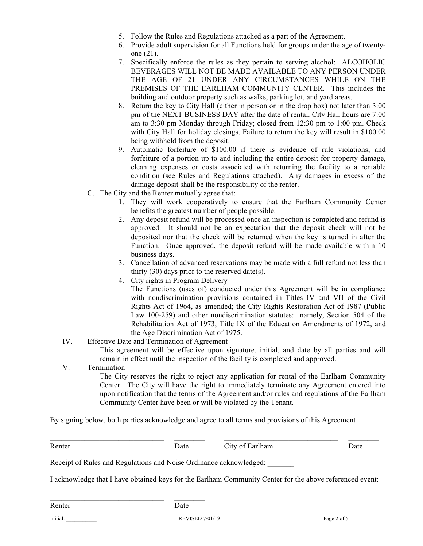- 5. Follow the Rules and Regulations attached as a part of the Agreement.
- 6. Provide adult supervision for all Functions held for groups under the age of twentyone (21).
- 7. Specifically enforce the rules as they pertain to serving alcohol: ALCOHOLIC BEVERAGES WILL NOT BE MADE AVAILABLE TO ANY PERSON UNDER THE AGE OF 21 UNDER ANY CIRCUMSTANCES WHILE ON THE PREMISES OF THE EARLHAM COMMUNITY CENTER. This includes the building and outdoor property such as walks, parking lot, and yard areas.
- 8. Return the key to City Hall (either in person or in the drop box) not later than 3:00 pm of the NEXT BUSINESS DAY after the date of rental. City Hall hours are 7:00 am to 3:30 pm Monday through Friday; closed from 12:30 pm to 1:00 pm. Check with City Hall for holiday closings. Failure to return the key will result in \$100.00 being withheld from the deposit.
- 9. Automatic forfeiture of \$100.00 if there is evidence of rule violations; and forfeiture of a portion up to and including the entire deposit for property damage, cleaning expenses or costs associated with returning the facility to a rentable condition (see Rules and Regulations attached). Any damages in excess of the damage deposit shall be the responsibility of the renter.
- C. The City and the Renter mutually agree that:
	- 1. They will work cooperatively to ensure that the Earlham Community Center benefits the greatest number of people possible.
	- 2. Any deposit refund will be processed once an inspection is completed and refund is approved. It should not be an expectation that the deposit check will not be deposited nor that the check will be returned when the key is turned in after the Function. Once approved, the deposit refund will be made available within 10 business days.
	- 3. Cancellation of advanced reservations may be made with a full refund not less than thirty  $(30)$  days prior to the reserved date(s).
	- 4. City rights in Program Delivery The Functions (uses of) conducted under this Agreement will be in compliance with nondiscrimination provisions contained in Titles IV and VII of the Civil Rights Act of 1964, as amended; the City Rights Restoration Act of 1987 (Public Law 100-259) and other nondiscrimination statutes: namely, Section 504 of the Rehabilitation Act of 1973, Title IX of the Education Amendments of 1972, and the Age Discrimination Act of 1975.
- IV. Effective Date and Termination of Agreement

This agreement will be effective upon signature, initial, and date by all parties and will remain in effect until the inspection of the facility is completed and approved.

V. Termination

The City reserves the right to reject any application for rental of the Earlham Community Center. The City will have the right to immediately terminate any Agreement entered into upon notification that the terms of the Agreement and/or rules and regulations of the Earlham Community Center have been or will be violated by the Tenant.

By signing below, both parties acknowledge and agree to all terms and provisions of this Agreement

Renter **Date** Date City of Earlham Date Date

Receipt of Rules and Regulations and Noise Ordinance acknowledged:

I acknowledge that I have obtained keys for the Earlham Community Center for the above referenced event:

 $\mathcal{L}_\text{max}$  , and the contribution of the contribution of the contribution of the contribution of the contribution of the contribution of the contribution of the contribution of the contribution of the contribution of t

Renter Date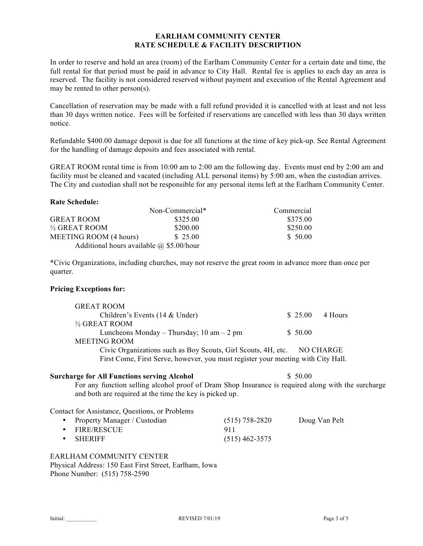## **EARLHAM COMMUNITY CENTER RATE SCHEDULE & FACILITY DESCRIPTION**

In order to reserve and hold an area (room) of the Earlham Community Center for a certain date and time, the full rental for that period must be paid in advance to City Hall. Rental fee is applies to each day an area is reserved. The facility is not considered reserved without payment and execution of the Rental Agreement and may be rented to other person(s).

Cancellation of reservation may be made with a full refund provided it is cancelled with at least and not less than 30 days written notice. Fees will be forfeited if reservations are cancelled with less than 30 days written notice.

Refundable \$400.00 damage deposit is due for all functions at the time of key pick-up. See Rental Agreement for the handling of damage deposits and fees associated with rental.

GREAT ROOM rental time is from 10:00 am to 2:00 am the following day. Events must end by 2:00 am and facility must be cleaned and vacated (including ALL personal items) by 5:00 am, when the custodian arrives. The City and custodian shall not be responsible for any personal items left at the Earlham Community Center.

### **Rate Schedule:**

|                                                 | Non-Commercial* | Commercial |
|-------------------------------------------------|-----------------|------------|
| <b>GREAT ROOM</b>                               | \$325.00        | \$375.00   |
| $\frac{1}{2}$ GREAT ROOM                        | \$200.00        | \$250.00   |
| <b>MEETING ROOM (4 hours)</b>                   | \$ 25.00        | \$ 50.00   |
| Additional hours available $\omega$ \$5.00/hour |                 |            |

\*Civic Organizations, including churches, may not reserve the great room in advance more than once per quarter.

# **Pricing Exceptions for:**

| <b>GREAT ROOM</b>                                                                |           |         |
|----------------------------------------------------------------------------------|-----------|---------|
| Children's Events $(14 \& Under)$                                                | \$25.00   | 4 Hours |
| $\frac{1}{2}$ GREAT ROOM                                                         |           |         |
| Luncheons Monday – Thursday; 10 am – 2 pm                                        | \$50.00   |         |
| <b>MEETING ROOM</b>                                                              |           |         |
| Civic Organizations such as Boy Scouts, Girl Scouts, 4H, etc.                    | NO CHARGE |         |
| First Come, First Serve, however, you must register your meeting with City Hall. |           |         |

#### **Surcharge for All Functions serving Alcohol** \$ 50.00

For any function selling alcohol proof of Dram Shop Insurance is required along with the surcharge and both are required at the time the key is picked up.

Contact for Assistance, Questions, or Problems

| • Property Manager / Custodian | $(515)$ 758-2820 | Doug Van Pelt |
|--------------------------------|------------------|---------------|
| • FIRE/RESCUE                  | 911              |               |
| $\bullet$ SHERIFF              | $(515)$ 462-3575 |               |

EARLHAM COMMUNITY CENTER Physical Address: 150 East First Street, Earlham, Iowa Phone Number: (515) 758-2590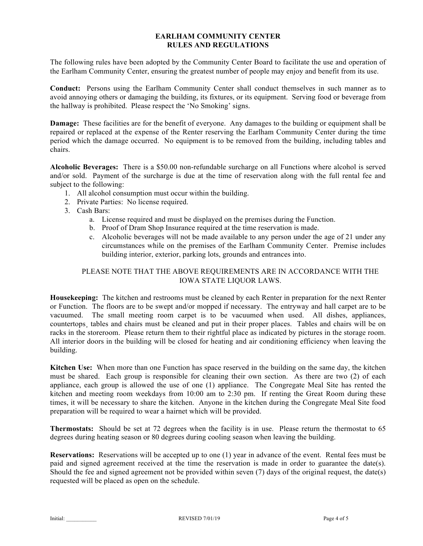## **EARLHAM COMMUNITY CENTER RULES AND REGULATIONS**

The following rules have been adopted by the Community Center Board to facilitate the use and operation of the Earlham Community Center, ensuring the greatest number of people may enjoy and benefit from its use.

**Conduct:** Persons using the Earlham Community Center shall conduct themselves in such manner as to avoid annoying others or damaging the building, its fixtures, or its equipment. Serving food or beverage from the hallway is prohibited. Please respect the 'No Smoking' signs.

**Damage:** These facilities are for the benefit of everyone. Any damages to the building or equipment shall be repaired or replaced at the expense of the Renter reserving the Earlham Community Center during the time period which the damage occurred. No equipment is to be removed from the building, including tables and chairs.

**Alcoholic Beverages:** There is a \$50.00 non-refundable surcharge on all Functions where alcohol is served and/or sold. Payment of the surcharge is due at the time of reservation along with the full rental fee and subject to the following:

- 1. All alcohol consumption must occur within the building.
- 2. Private Parties: No license required.
- 3. Cash Bars:
	- a. License required and must be displayed on the premises during the Function.
	- b. Proof of Dram Shop Insurance required at the time reservation is made.
	- c. Alcoholic beverages will not be made available to any person under the age of 21 under any circumstances while on the premises of the Earlham Community Center. Premise includes building interior, exterior, parking lots, grounds and entrances into.

# PLEASE NOTE THAT THE ABOVE REQUIREMENTS ARE IN ACCORDANCE WITH THE IOWA STATE LIQUOR LAWS.

**Housekeeping:** The kitchen and restrooms must be cleaned by each Renter in preparation for the next Renter or Function. The floors are to be swept and/or mopped if necessary. The entryway and hall carpet are to be vacuumed. The small meeting room carpet is to be vacuumed when used. All dishes, appliances, countertops, tables and chairs must be cleaned and put in their proper places. Tables and chairs will be on racks in the storeroom. Please return them to their rightful place as indicated by pictures in the storage room. All interior doors in the building will be closed for heating and air conditioning efficiency when leaving the building.

**Kitchen Use:** When more than one Function has space reserved in the building on the same day, the kitchen must be shared. Each group is responsible for cleaning their own section. As there are two (2) of each appliance, each group is allowed the use of one (1) appliance. The Congregate Meal Site has rented the kitchen and meeting room weekdays from 10:00 am to 2:30 pm. If renting the Great Room during these times, it will be necessary to share the kitchen. Anyone in the kitchen during the Congregate Meal Site food preparation will be required to wear a hairnet which will be provided.

**Thermostats:** Should be set at 72 degrees when the facility is in use. Please return the thermostat to 65 degrees during heating season or 80 degrees during cooling season when leaving the building.

**Reservations:** Reservations will be accepted up to one (1) year in advance of the event. Rental fees must be paid and signed agreement received at the time the reservation is made in order to guarantee the date(s). Should the fee and signed agreement not be provided within seven (7) days of the original request, the date(s) requested will be placed as open on the schedule.